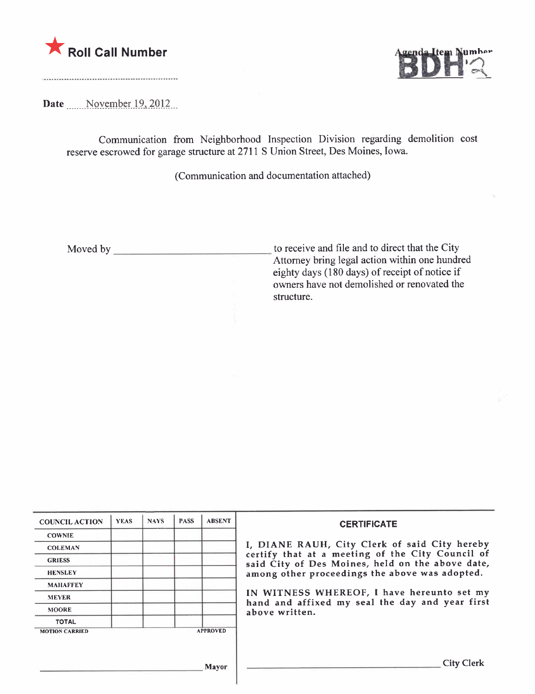



Date ....... November 19, 2012

Communication from Neighborhood Inspection Division regarding demolition cost reserve escrowed for garage structure at 2711 S Union Street, Des Moines, Iowa.

(Communication and documentation attached)

Moved by to receive and file and to direct that the City Attorney bring legal action within one hundred eighty days ( 180 days) of receipt of notice if owners have not demolished or renovated the structure.

| <b>COUNCIL ACTION</b> | <b>YEAS</b> | <b>NAYS</b> | <b>PASS</b> | <b>ABSENT</b>   | <b>CERTIFICATE</b>                                                                                                                                                                                      |  |  |
|-----------------------|-------------|-------------|-------------|-----------------|---------------------------------------------------------------------------------------------------------------------------------------------------------------------------------------------------------|--|--|
| <b>COWNIE</b>         |             |             |             |                 |                                                                                                                                                                                                         |  |  |
| <b>COLEMAN</b>        |             |             |             |                 | I, DIANE RAUH, City Clerk of said City hereby<br>certify that at a meeting of the City Council of<br>said City of Des Moines, held on the above date,<br>among other proceedings the above was adopted. |  |  |
| <b>GRIESS</b>         |             |             |             |                 |                                                                                                                                                                                                         |  |  |
| <b>HENSLEY</b>        |             |             |             |                 |                                                                                                                                                                                                         |  |  |
| <b>MAHAFFEY</b>       |             |             |             |                 |                                                                                                                                                                                                         |  |  |
| <b>MEYER</b>          |             |             |             |                 | IN WITNESS WHEREOF, I have hereunto set my<br>hand and affixed my seal the day and year first<br>above written.                                                                                         |  |  |
| <b>MOORE</b>          |             |             |             |                 |                                                                                                                                                                                                         |  |  |
| <b>TOTAL</b>          |             |             |             |                 |                                                                                                                                                                                                         |  |  |
| <b>MOTION CARRIED</b> |             |             |             | <b>APPROVED</b> |                                                                                                                                                                                                         |  |  |
|                       |             |             |             |                 |                                                                                                                                                                                                         |  |  |
|                       |             |             |             |                 |                                                                                                                                                                                                         |  |  |
| <b>Mayor</b>          |             |             |             |                 | <b>City Clerk</b>                                                                                                                                                                                       |  |  |